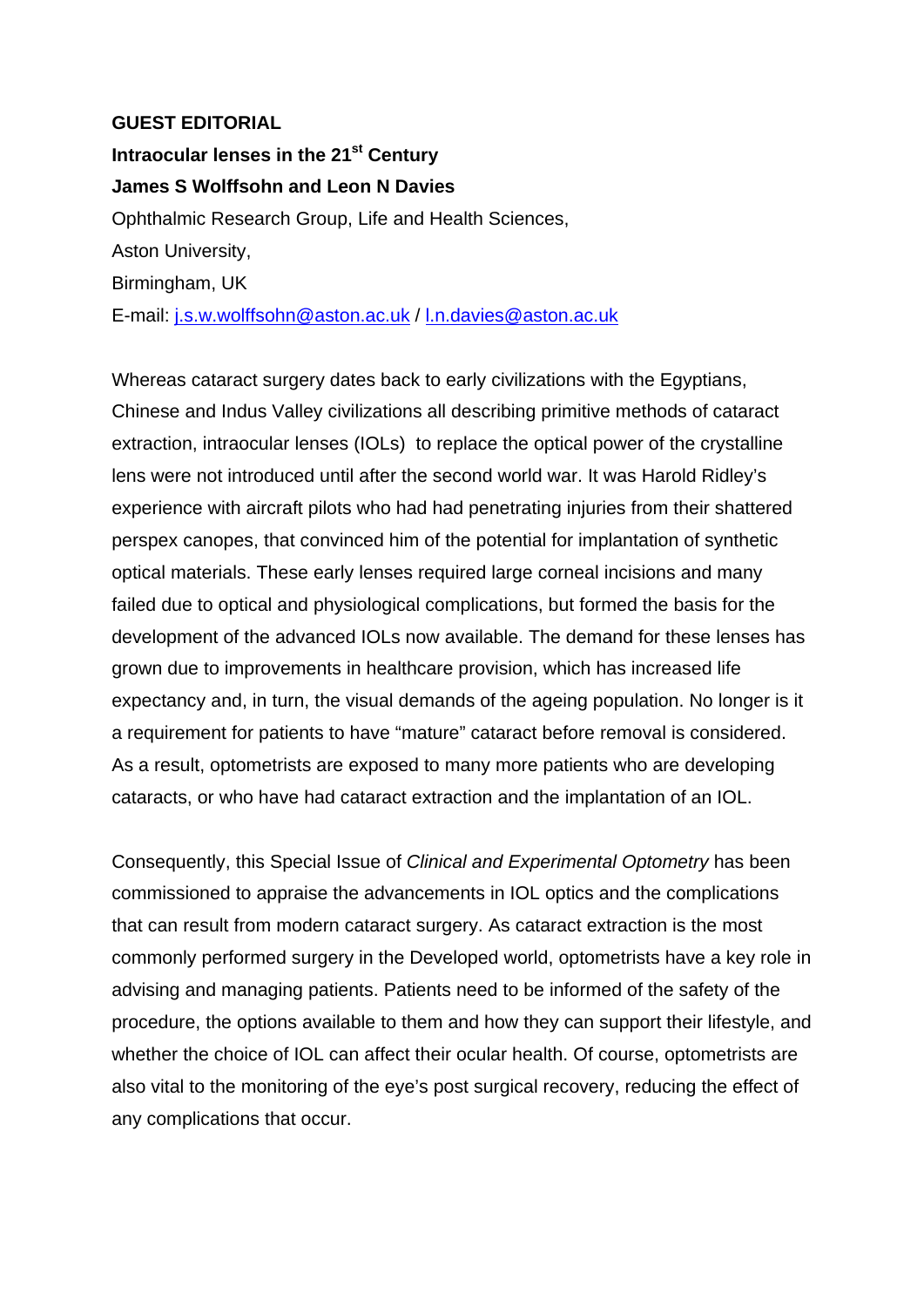## **GUEST EDITORIAL**

**Intraocular lenses in the 21st Century James S Wolffsohn and Leon N Davies**  Ophthalmic Research Group, Life and Health Sciences, Aston University, Birmingham, UK E-mail: j.s.w.wolffsohn@aston.ac.uk / l.n.davies@aston.ac.uk

Whereas cataract surgery dates back to early civilizations with the Egyptians, Chinese and Indus Valley civilizations all describing primitive methods of cataract extraction, intraocular lenses (IOLs) to replace the optical power of the crystalline lens were not introduced until after the second world war. It was Harold Ridley's experience with aircraft pilots who had had penetrating injuries from their shattered perspex canopes, that convinced him of the potential for implantation of synthetic optical materials. These early lenses required large corneal incisions and many failed due to optical and physiological complications, but formed the basis for the development of the advanced IOLs now available. The demand for these lenses has grown due to improvements in healthcare provision, which has increased life expectancy and, in turn, the visual demands of the ageing population. No longer is it a requirement for patients to have "mature" cataract before removal is considered. As a result, optometrists are exposed to many more patients who are developing cataracts, or who have had cataract extraction and the implantation of an IOL.

Consequently, this Special Issue of *Clinical and Experimental Optometry* has been commissioned to appraise the advancements in IOL optics and the complications that can result from modern cataract surgery. As cataract extraction is the most commonly performed surgery in the Developed world, optometrists have a key role in advising and managing patients. Patients need to be informed of the safety of the procedure, the options available to them and how they can support their lifestyle, and whether the choice of IOL can affect their ocular health. Of course, optometrists are also vital to the monitoring of the eye's post surgical recovery, reducing the effect of any complications that occur.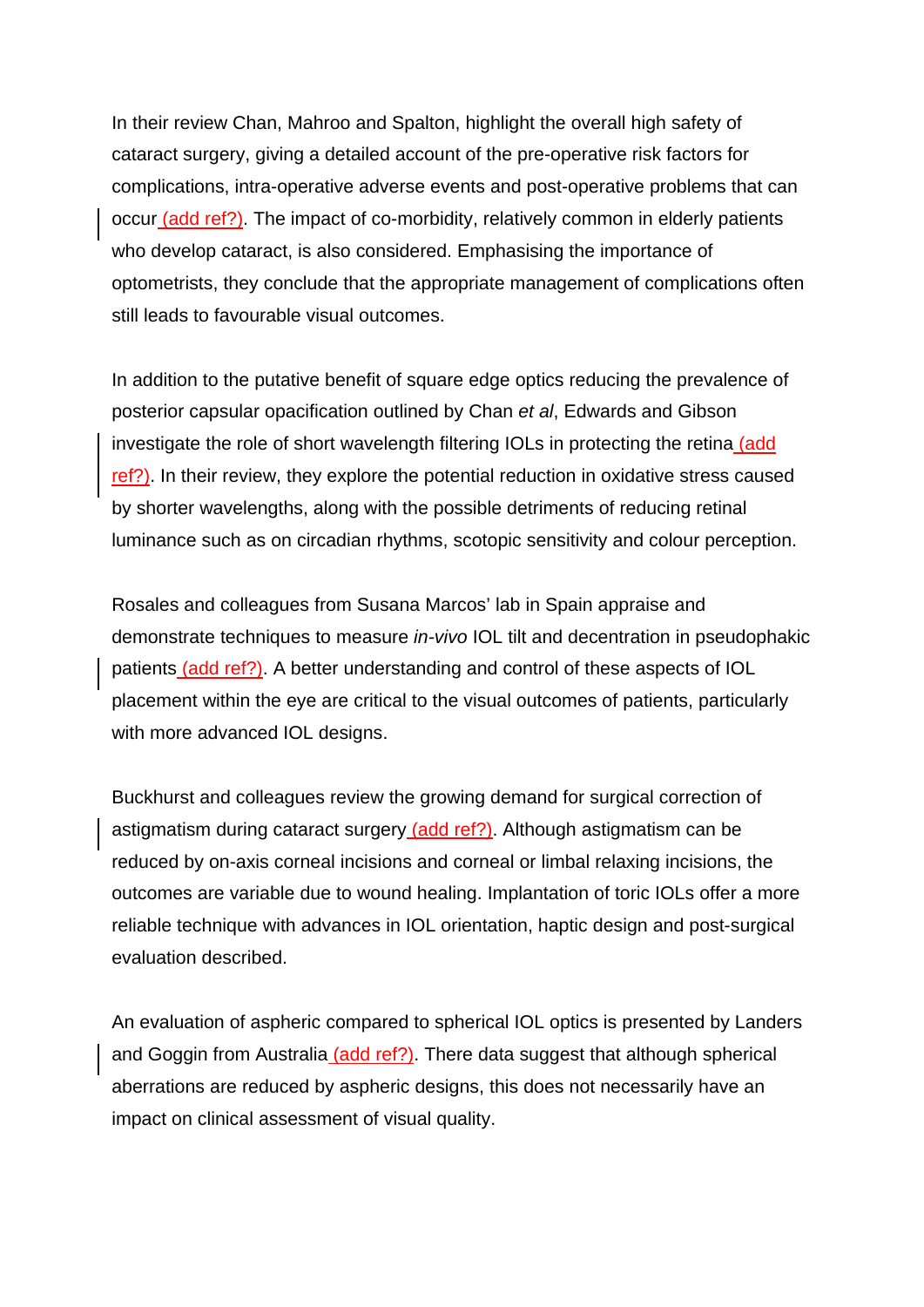In their review Chan, Mahroo and Spalton, highlight the overall high safety of cataract surgery, giving a detailed account of the pre-operative risk factors for complications, intra-operative adverse events and post-operative problems that can occur (add ref?). The impact of co-morbidity, relatively common in elderly patients who develop cataract, is also considered. Emphasising the importance of optometrists, they conclude that the appropriate management of complications often still leads to favourable visual outcomes.

In addition to the putative benefit of square edge optics reducing the prevalence of posterior capsular opacification outlined by Chan *et al*, Edwards and Gibson investigate the role of short wavelength filtering IOLs in protecting the retina (add ref?). In their review, they explore the potential reduction in oxidative stress caused by shorter wavelengths, along with the possible detriments of reducing retinal luminance such as on circadian rhythms, scotopic sensitivity and colour perception.

Rosales and colleagues from Susana Marcos' lab in Spain appraise and demonstrate techniques to measure *in-vivo* IOL tilt and decentration in pseudophakic patients (add ref?). A better understanding and control of these aspects of IOL placement within the eye are critical to the visual outcomes of patients, particularly with more advanced IOL designs.

Buckhurst and colleagues review the growing demand for surgical correction of astigmatism during cataract surgery (add ref?). Although astigmatism can be reduced by on-axis corneal incisions and corneal or limbal relaxing incisions, the outcomes are variable due to wound healing. Implantation of toric IOLs offer a more reliable technique with advances in IOL orientation, haptic design and post-surgical evaluation described.

An evaluation of aspheric compared to spherical IOL optics is presented by Landers and Goggin from Australia (add ref?). There data suggest that although spherical aberrations are reduced by aspheric designs, this does not necessarily have an impact on clinical assessment of visual quality.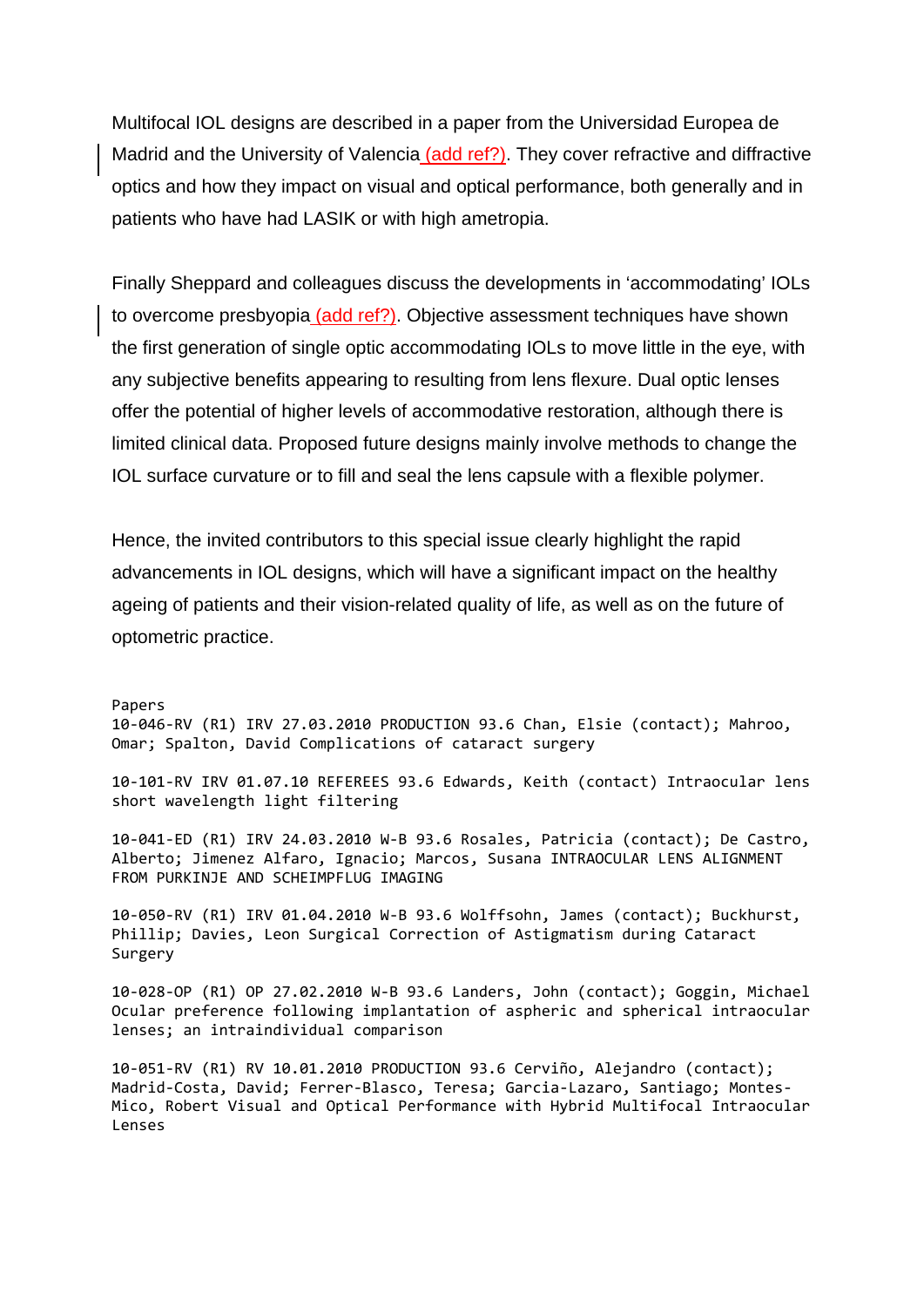Multifocal IOL designs are described in a paper from the Universidad Europea de Madrid and the University of Valencia (add ref?). They cover refractive and diffractive optics and how they impact on visual and optical performance, both generally and in patients who have had LASIK or with high ametropia.

Finally Sheppard and colleagues discuss the developments in 'accommodating' IOLs to overcome presbyopia (add ref?). Objective assessment techniques have shown the first generation of single optic accommodating IOLs to move little in the eye, with any subjective benefits appearing to resulting from lens flexure. Dual optic lenses offer the potential of higher levels of accommodative restoration, although there is limited clinical data. Proposed future designs mainly involve methods to change the IOL surface curvature or to fill and seal the lens capsule with a flexible polymer.

Hence, the invited contributors to this special issue clearly highlight the rapid advancements in IOL designs, which will have a significant impact on the healthy ageing of patients and their vision-related quality of life, as well as on the future of optometric practice.

Papers

10‐046‐RV (R1) IRV 27.03.2010 PRODUCTION 93.6 Chan, Elsie (contact); Mahroo, Omar; Spalton, David Complications of cataract surgery

10‐101‐RV IRV 01.07.10 REFEREES 93.6 Edwards, Keith (contact) Intraocular lens short wavelength light filtering

10‐041‐ED (R1) IRV 24.03.2010 W‐B 93.6 Rosales, Patricia (contact); De Castro, Alberto; Jimenez Alfaro, Ignacio; Marcos, Susana INTRAOCULAR LENS ALIGNMENT FROM PURKINJE AND SCHEIMPFLUG IMAGING

10‐050‐RV (R1) IRV 01.04.2010 W‐B 93.6 Wolffsohn, James (contact); Buckhurst, Phillip; Davies, Leon Surgical Correction of Astigmatism during Cataract Surgery

10‐028‐OP (R1) OP 27.02.2010 W‐B 93.6 Landers, John (contact); Goggin, Michael Ocular preference following implantation of aspheric and spherical intraocular lenses; an intraindividual comparison

10‐051‐RV (R1) RV 10.01.2010 PRODUCTION 93.6 Cerviño, Alejandro (contact); Madrid‐Costa, David; Ferrer‐Blasco, Teresa; Garcia‐Lazaro, Santiago; Montes‐ Mico, Robert Visual and Optical Performance with Hybrid Multifocal Intraocular Lenses